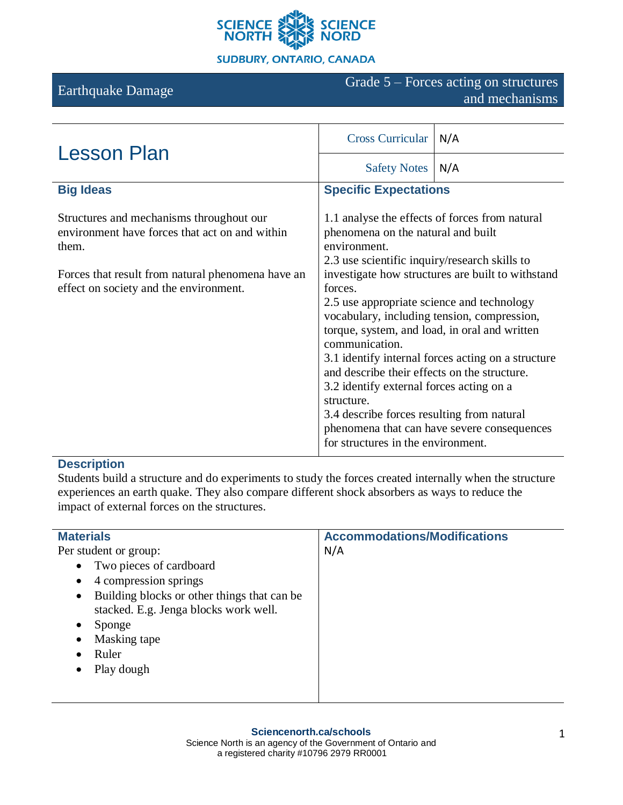

#### **SUDBURY, ONTARIO, CANADA**

# Earthquake Damage Grade 5 – Forces acting on structures and mechanisms

| <b>Lesson Plan</b>                                                                                                                                                                                 | <b>Cross Curricular</b>                                                                                                                                                                                                                                                                                                                                                                                                                                                                                                                                                                                                                            | N/A |
|----------------------------------------------------------------------------------------------------------------------------------------------------------------------------------------------------|----------------------------------------------------------------------------------------------------------------------------------------------------------------------------------------------------------------------------------------------------------------------------------------------------------------------------------------------------------------------------------------------------------------------------------------------------------------------------------------------------------------------------------------------------------------------------------------------------------------------------------------------------|-----|
|                                                                                                                                                                                                    | <b>Safety Notes</b>                                                                                                                                                                                                                                                                                                                                                                                                                                                                                                                                                                                                                                | N/A |
| <b>Big Ideas</b>                                                                                                                                                                                   | <b>Specific Expectations</b>                                                                                                                                                                                                                                                                                                                                                                                                                                                                                                                                                                                                                       |     |
| Structures and mechanisms throughout our<br>environment have forces that act on and within<br>them.<br>Forces that result from natural phenomena have an<br>effect on society and the environment. | 1.1 analyse the effects of forces from natural<br>phenomena on the natural and built<br>environment.<br>2.3 use scientific inquiry/research skills to<br>investigate how structures are built to withstand<br>forces.<br>2.5 use appropriate science and technology<br>vocabulary, including tension, compression,<br>torque, system, and load, in oral and written<br>communication.<br>3.1 identify internal forces acting on a structure<br>and describe their effects on the structure.<br>3.2 identify external forces acting on a<br>structure.<br>3.4 describe forces resulting from natural<br>phenomena that can have severe consequences |     |

## **Description**

Students build a structure and do experiments to study the forces created internally when the structure experiences an earth quake. They also compare different shock absorbers as ways to reduce the impact of external forces on the structures.

| <b>Materials</b>                                         | <b>Accommodations/Modifications</b> |
|----------------------------------------------------------|-------------------------------------|
| Per student or group:                                    | N/A                                 |
| Two pieces of cardboard<br>$\bullet$                     |                                     |
| 4 compression springs<br>$\bullet$                       |                                     |
| Building blocks or other things that can be<br>$\bullet$ |                                     |
| stacked. E.g. Jenga blocks work well.                    |                                     |
| Sponge<br>٠                                              |                                     |
| Masking tape<br>$\bullet$                                |                                     |
| Ruler                                                    |                                     |
| Play dough<br>٠                                          |                                     |
|                                                          |                                     |
|                                                          |                                     |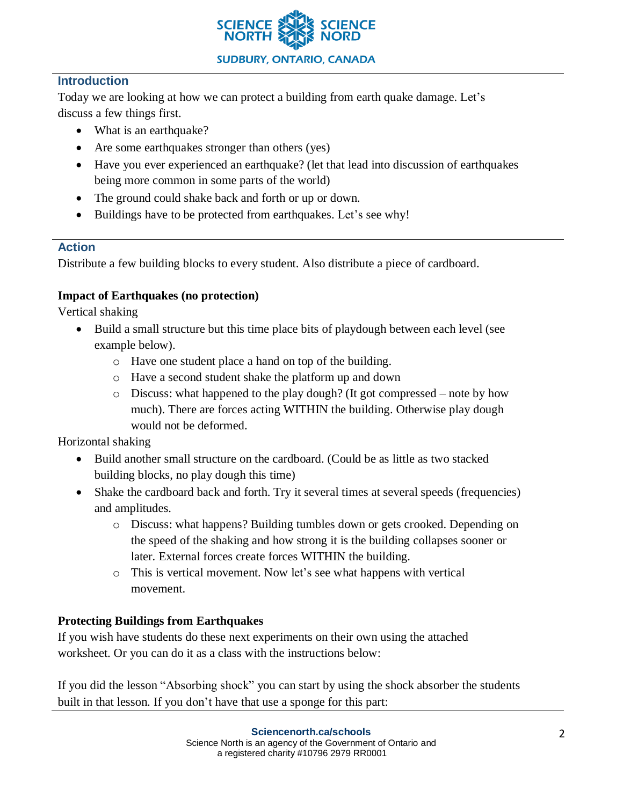

## **Introduction**

Today we are looking at how we can protect a building from earth quake damage. Let's discuss a few things first.

- What is an earthquake?
- Are some earthquakes stronger than others (yes)
- Have you ever experienced an earthquake? (let that lead into discussion of earthquakes being more common in some parts of the world)
- The ground could shake back and forth or up or down.
- Buildings have to be protected from earthquakes. Let's see why!

## **Action**

Distribute a few building blocks to every student. Also distribute a piece of cardboard.

## **Impact of Earthquakes (no protection)**

Vertical shaking

- Build a small structure but this time place bits of playdough between each level (see example below).
	- o Have one student place a hand on top of the building.
	- o Have a second student shake the platform up and down
	- $\circ$  Discuss: what happened to the play dough? (It got compressed note by how much). There are forces acting WITHIN the building. Otherwise play dough would not be deformed.

Horizontal shaking

- Build another small structure on the cardboard. (Could be as little as two stacked building blocks, no play dough this time)
- Shake the cardboard back and forth. Try it several times at several speeds (frequencies) and amplitudes.
	- o Discuss: what happens? Building tumbles down or gets crooked. Depending on the speed of the shaking and how strong it is the building collapses sooner or later. External forces create forces WITHIN the building.
	- o This is vertical movement. Now let's see what happens with vertical movement.

## **Protecting Buildings from Earthquakes**

If you wish have students do these next experiments on their own using the attached worksheet. Or you can do it as a class with the instructions below:

If you did the lesson "Absorbing shock" you can start by using the shock absorber the students built in that lesson. If you don't have that use a sponge for this part: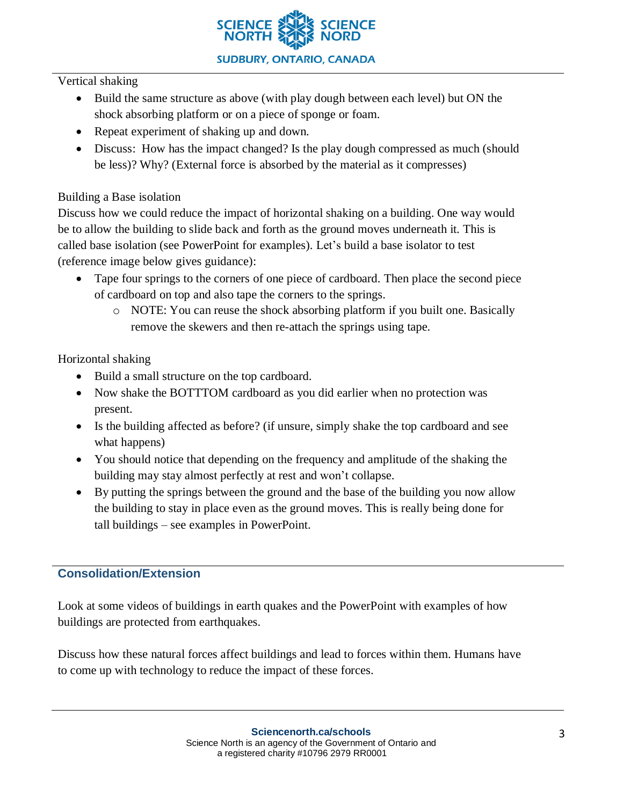

#### Vertical shaking

- Build the same structure as above (with play dough between each level) but ON the shock absorbing platform or on a piece of sponge or foam.
- Repeat experiment of shaking up and down.
- Discuss: How has the impact changed? Is the play dough compressed as much (should be less)? Why? (External force is absorbed by the material as it compresses)

## Building a Base isolation

Discuss how we could reduce the impact of horizontal shaking on a building. One way would be to allow the building to slide back and forth as the ground moves underneath it. This is called base isolation (see PowerPoint for examples). Let's build a base isolator to test (reference image below gives guidance):

- Tape four springs to the corners of one piece of cardboard. Then place the second piece of cardboard on top and also tape the corners to the springs.
	- o NOTE: You can reuse the shock absorbing platform if you built one. Basically remove the skewers and then re-attach the springs using tape.

### Horizontal shaking

- Build a small structure on the top cardboard.
- Now shake the BOTTTOM cardboard as you did earlier when no protection was present.
- Is the building affected as before? (if unsure, simply shake the top cardboard and see what happens)
- You should notice that depending on the frequency and amplitude of the shaking the building may stay almost perfectly at rest and won't collapse.
- By putting the springs between the ground and the base of the building you now allow the building to stay in place even as the ground moves. This is really being done for tall buildings – see examples in PowerPoint.

## **Consolidation/Extension**

Look at some videos of buildings in earth quakes and the PowerPoint with examples of how buildings are protected from earthquakes.

Discuss how these natural forces affect buildings and lead to forces within them. Humans have to come up with technology to reduce the impact of these forces.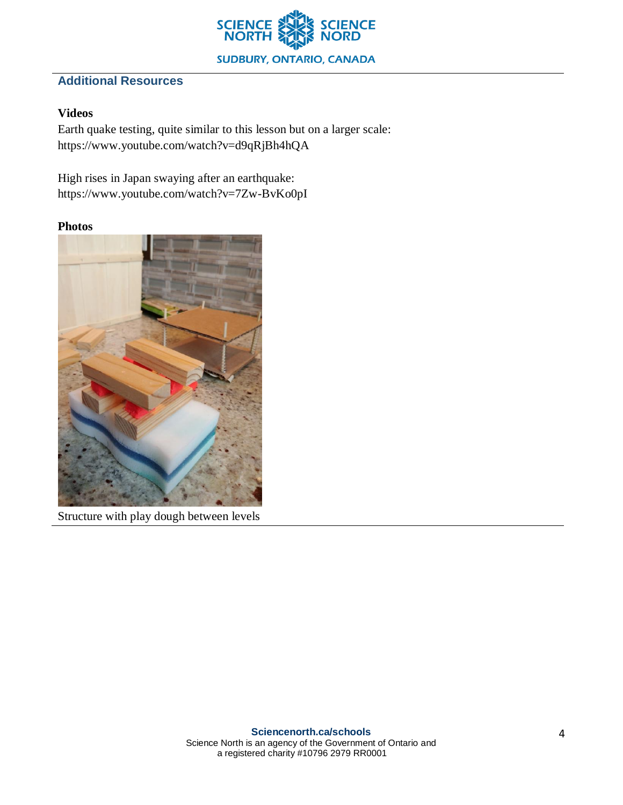

# **Additional Resources**

## **Videos**

Earth quake testing, quite similar to this lesson but on a larger scale: https://www.youtube.com/watch?v=d9qRjBh4hQA

High rises in Japan swaying after an earthquake: https://www.youtube.com/watch?v=7Zw-BvKo0pI

### **Photos**



Structure with play dough between levels